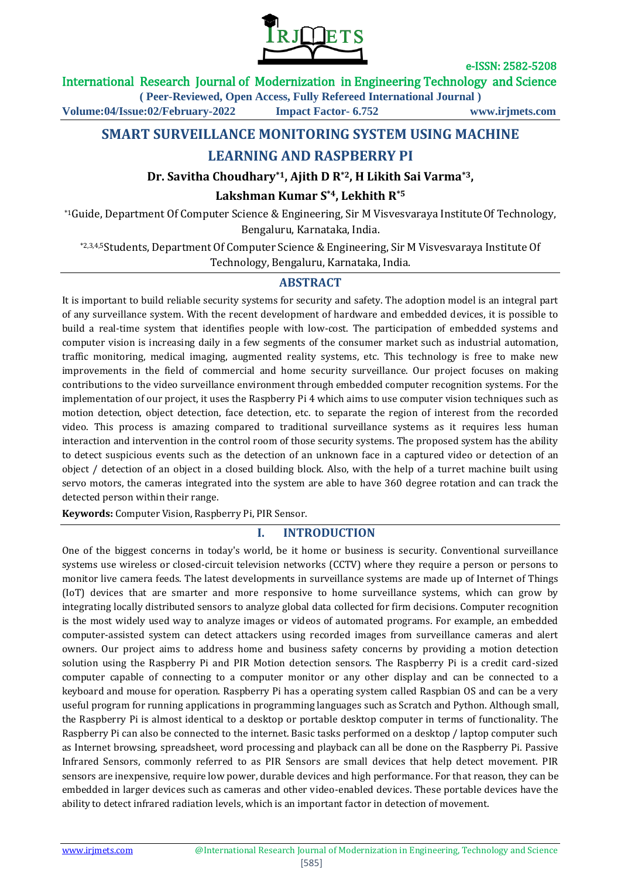

#### International Research Journal of Modernization in Engineering Technology and Science

**( Peer-Reviewed, Open Access, Fully Refereed International Journal ) Volume:04/Issue:02/February-2022 Impact Factor- 6.752 www.irjmets.com**

# **SMART SURVEILLANCE MONITORING SYSTEM USING MACHINE**

# **LEARNING AND RASPBERRY PI**

# **Dr. Savitha Choudhary\*1, Ajith D R\*2, H Likith Sai Varma\*3,**

### **Lakshman Kumar S\*4, Lekhith R\*5**

\*1Guide, Department Of Computer Science & Engineering, Sir M Visvesvaraya InstituteOf Technology, Bengaluru, Karnataka, India.

\*2,3,4,5Students, Department Of Computer Science & Engineering, Sir M Visvesvaraya Institute Of Technology, Bengaluru, Karnataka, India.

# **ABSTRACT**

It is important to build reliable security systems for security and safety. The adoption model is an integral part of any surveillance system. With the recent development of hardware and embedded devices, it is possible to build a real-time system that identifies people with low-cost. The participation of embedded systems and computer vision is increasing daily in a few segments of the consumer market such as industrial automation, traffic monitoring, medical imaging, augmented reality systems, etc. This technology is free to make new improvements in the field of commercial and home security surveillance. Our project focuses on making contributions to the video surveillance environment through embedded computer recognition systems. For the implementation of our project, it uses the Raspberry Pi 4 which aims to use computer vision techniques such as motion detection, object detection, face detection, etc. to separate the region of interest from the recorded video. This process is amazing compared to traditional surveillance systems as it requires less human interaction and intervention in the control room of those security systems. The proposed system has the ability to detect suspicious events such as the detection of an unknown face in a captured video or detection of an object / detection of an object in a closed building block. Also, with the help of a turret machine built using servo motors, the cameras integrated into the system are able to have 360 degree rotation and can track the detected person within their range.

**Keywords:** Computer Vision, Raspberry Pi, PIR Sensor.

# **I. INTRODUCTION**

One of the biggest concerns in today's world, be it home or business is security. Conventional surveillance systems use wireless or closed-circuit television networks (CCTV) where they require a person or persons to monitor live camera feeds. The latest developments in surveillance systems are made up of Internet of Things (IoT) devices that are smarter and more responsive to home surveillance systems, which can grow by integrating locally distributed sensors to analyze global data collected for firm decisions. Computer recognition is the most widely used way to analyze images or videos of automated programs. For example, an embedded computer-assisted system can detect attackers using recorded images from surveillance cameras and alert owners. Our project aims to address home and business safety concerns by providing a motion detection solution using the Raspberry Pi and PIR Motion detection sensors. The Raspberry Pi is a credit card-sized computer capable of connecting to a computer monitor or any other display and can be connected to a keyboard and mouse for operation. Raspberry Pi has a operating system called Raspbian OS and can be a very useful program for running applications in programming languages such as Scratch and Python. Although small, the Raspberry Pi is almost identical to a desktop or portable desktop computer in terms of functionality. The Raspberry Pi can also be connected to the internet. Basic tasks performed on a desktop / laptop computer such as Internet browsing, spreadsheet, word processing and playback can all be done on the Raspberry Pi. Passive Infrared Sensors, commonly referred to as PIR Sensors are small devices that help detect movement. PIR sensors are inexpensive, require low power, durable devices and high performance. For that reason, they can be embedded in larger devices such as cameras and other video-enabled devices. These portable devices have the ability to detect infrared radiation levels, which is an important factor in detection of movement.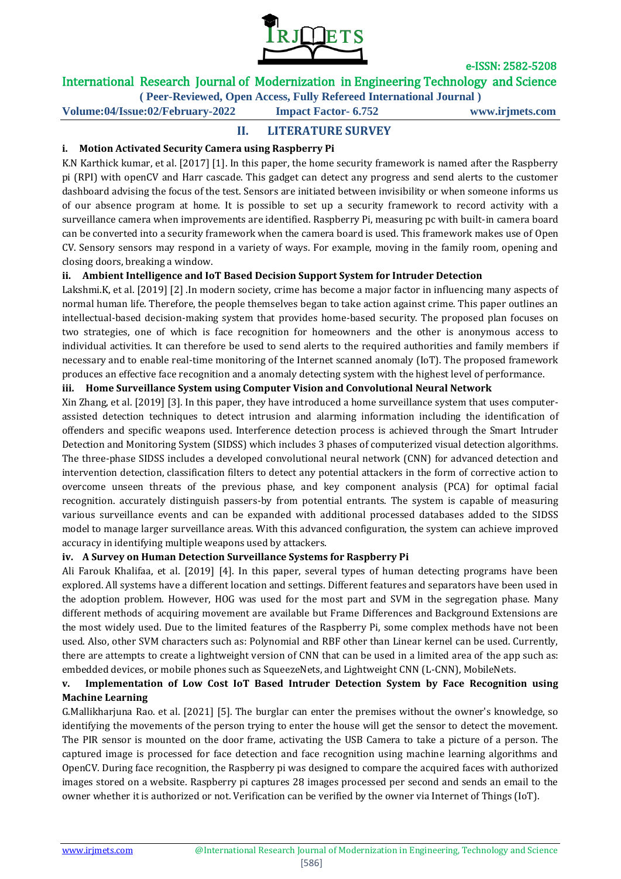

# International Research Journal of Modernization in Engineering Technology and Science

**( Peer-Reviewed, Open Access, Fully Refereed International Journal )**

**Volume:04/Issue:02/February-2022 Impact Factor- 6.752 www.irjmets.com**

### **II. LITERATURE SURVEY**

#### **i. Motion Activated Security Camera using Raspberry Pi**

K.N Karthick kumar, et al. [2017] [1]. In this paper, the home security framework is named after the Raspberry pi (RPI) with openCV and Harr cascade. This gadget can detect any progress and send alerts to the customer dashboard advising the focus of the test. Sensors are initiated between invisibility or when someone informs us of our absence program at home. It is possible to set up a security framework to record activity with a surveillance camera when improvements are identified. Raspberry Pi, measuring pc with built-in camera board can be converted into a security framework when the camera board is used. This framework makes use of Open CV. Sensory sensors may respond in a variety of ways. For example, moving in the family room, opening and closing doors, breaking a window.

#### **ii. Ambient Intelligence and IoT Based Decision Support System for Intruder Detection**

Lakshmi.K, et al. [2019] [2] .In modern society, crime has become a major factor in influencing many aspects of normal human life. Therefore, the people themselves began to take action against crime. This paper outlines an intellectual-based decision-making system that provides home-based security. The proposed plan focuses on two strategies, one of which is face recognition for homeowners and the other is anonymous access to individual activities. It can therefore be used to send alerts to the required authorities and family members if necessary and to enable real-time monitoring of the Internet scanned anomaly (IoT). The proposed framework produces an effective face recognition and a anomaly detecting system with the highest level of performance.

#### **iii. Home Surveillance System using Computer Vision and Convolutional Neural Network**

Xin Zhang, et al. [2019] [3]. In this paper, they have introduced a home surveillance system that uses computerassisted detection techniques to detect intrusion and alarming information including the identification of offenders and specific weapons used. Interference detection process is achieved through the Smart Intruder Detection and Monitoring System (SIDSS) which includes 3 phases of computerized visual detection algorithms. The three-phase SIDSS includes a developed convolutional neural network (CNN) for advanced detection and intervention detection, classification filters to detect any potential attackers in the form of corrective action to overcome unseen threats of the previous phase, and key component analysis (PCA) for optimal facial recognition. accurately distinguish passers-by from potential entrants. The system is capable of measuring various surveillance events and can be expanded with additional processed databases added to the SIDSS model to manage larger surveillance areas. With this advanced configuration, the system can achieve improved accuracy in identifying multiple weapons used by attackers.

#### **iv. A Survey on Human Detection Surveillance Systems for Raspberry Pi**

Ali Farouk Khalifaa, et al. [2019] [4]. In this paper, several types of human detecting programs have been explored. All systems have a different location and settings. Different features and separators have been used in the adoption problem. However, HOG was used for the most part and SVM in the segregation phase. Many different methods of acquiring movement are available but Frame Differences and Background Extensions are the most widely used. Due to the limited features of the Raspberry Pi, some complex methods have not been used. Also, other SVM characters such as: Polynomial and RBF other than Linear kernel can be used. Currently, there are attempts to create a lightweight version of CNN that can be used in a limited area of the app such as: embedded devices, or mobile phones such as SqueezeNets, and Lightweight CNN (L-CNN), MobileNets.

#### **v. Implementation of Low Cost IoT Based Intruder Detection System by Face Recognition using Machine Learning**

G.Mallikharjuna Rao. et al. [2021] [5]. The burglar can enter the premises without the owner's knowledge, so identifying the movements of the person trying to enter the house will get the sensor to detect the movement. The PIR sensor is mounted on the door frame, activating the USB Camera to take a picture of a person. The captured image is processed for face detection and face recognition using machine learning algorithms and OpenCV. During face recognition, the Raspberry pi was designed to compare the acquired faces with authorized images stored on a website. Raspberry pi captures 28 images processed per second and sends an email to the owner whether it is authorized or not. Verification can be verified by the owner via Internet of Things (IoT).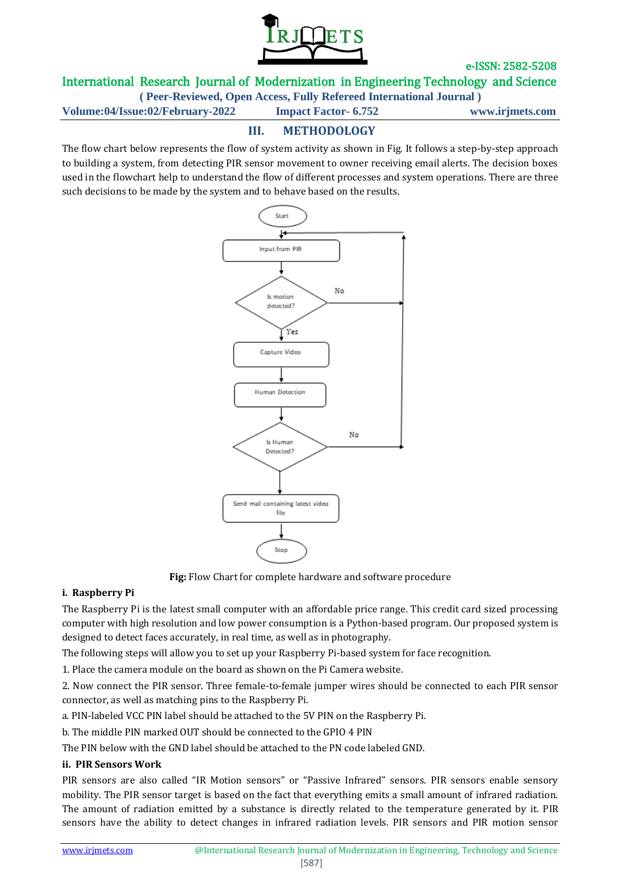

International Research Journal of Modernization in Engineering Technology and Science

**( Peer-Reviewed, Open Access, Fully Refereed International Journal )**

**Volume:04/Issue:02/February-2022 Impact Factor- 6.752 www.irjmets.com**

# **III. METHODOLOGY**

The flow chart below represents the flow of system activity as shown in Fig. It follows a step-by-step approach to building a system, from detecting PIR sensor movement to owner receiving email alerts. The decision boxes used in the flowchart help to understand the flow of different processes and system operations. There are three such decisions to be made by the system and to behave based on the results.



**Fig:** Flow Chart for complete hardware and software procedure

#### **i. Raspberry Pi**

The Raspberry Pi is the latest small computer with an affordable price range. This credit card sized processing computer with high resolution and low power consumption is a Python-based program. Our proposed system is designed to detect faces accurately, in real time, as well as in photography.

The following steps will allow you to set up your Raspberry Pi-based system for face recognition.

1. Place the camera module on the board as shown on the Pi Camera website.

2. Now connect the PIR sensor. Three female-to-female jumper wires should be connected to each PIR sensor connector, as well as matching pins to the Raspberry Pi.

a. PIN-labeled VCC PIN label should be attached to the 5V PIN on the Raspberry Pi.

b. The middle PIN marked OUT should be connected to the GPIO 4 PIN

The PIN below with the GND label should be attached to the PN code labeled GND.

#### **ii. PIR Sensors Work**

PIR sensors are also called "IR Motion sensors" or "Passive Infrared" sensors. PIR sensors enable sensory mobility. The PIR sensor target is based on the fact that everything emits a small amount of infrared radiation. The amount of radiation emitted by a substance is directly related to the temperature generated by it. PIR sensors have the ability to detect changes in infrared radiation levels. PIR sensors and PIR motion sensor